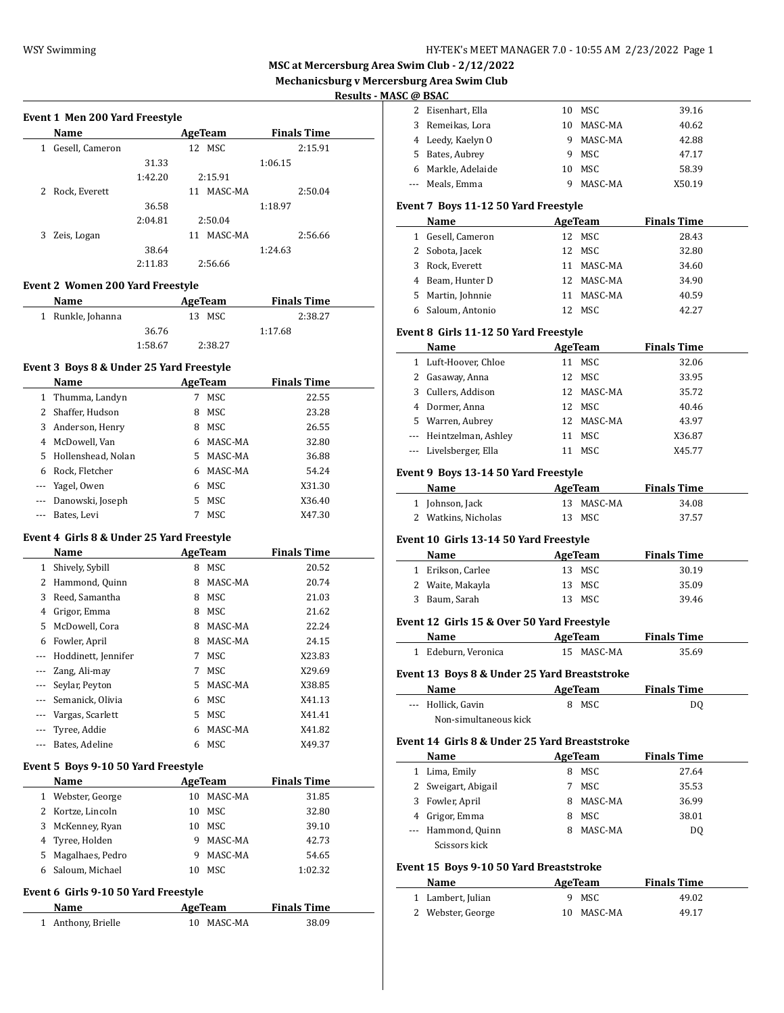$\overline{a}$ 

# **MSC at Mercersburg Area Swim Club - 2/12/2022**

**Mechanicsburg v Mercersburg Area Swim Club**

#### **Results - MASC @ BSAC**

 $\frac{1}{2}$ 

 $\frac{1}{2}$ 

 $\overline{\phantom{a}}$ 

|  |  | Event 1 Men 200 Yard Freestyle |  |
|--|--|--------------------------------|--|
|  |  |                                |  |

| Name            |       |                               |         |                                                    | <b>Finals Time</b> |
|-----------------|-------|-------------------------------|---------|----------------------------------------------------|--------------------|
| Gesell, Cameron |       |                               |         |                                                    | 2:15.91            |
|                 | 31.33 |                               |         | 1:06.15                                            |                    |
|                 |       |                               |         |                                                    |                    |
| Rock, Everett   |       | 11                            | MASC-MA |                                                    | 2:50.04            |
|                 | 36.58 |                               |         | 1:18.97                                            |                    |
|                 |       |                               |         |                                                    |                    |
| Zeis, Logan     |       | 11                            | MASC-MA |                                                    | 2:56.66            |
|                 | 38.64 |                               |         | 1:24.63                                            |                    |
|                 |       |                               |         |                                                    |                    |
|                 |       | 1:42.20<br>2:04.81<br>2:11.83 |         | AgeTeam<br>12 MSC<br>2:15.91<br>2:50.04<br>2:56.66 |                    |

#### **Event 2 Women 200 Yard Freestyle**

| <b>Name</b>       | AgeTeam | <b>Finals Time</b> |  |
|-------------------|---------|--------------------|--|
| 1 Runkle, Johanna | 13 MSC  | 2:38.27            |  |
| 36.76             |         | 1:17.68            |  |
| 1:58.67           | 2:38.27 |                    |  |

#### **Event 3 Boys 8 & Under 25 Yard Freestyle**

|   | <b>Name</b>          |    | AgeTeam | <b>Finals Time</b> |  |
|---|----------------------|----|---------|--------------------|--|
|   | 1 Thumma, Landyn     |    | MSC     | 22.55              |  |
|   | 2 Shaffer, Hudson    | 8  | MSC     | 23.28              |  |
|   | 3 Anderson, Henry    | 8  | MSC     | 26.55              |  |
| 4 | McDowell, Van        | 6  | MASC-MA | 32.80              |  |
|   | 5 Hollenshead, Nolan | 5. | MASC-MA | 36.88              |  |
|   | 6 Rock, Fletcher     | 6  | MASC-MA | 54.24              |  |
|   | --- Yagel, Owen      | 6  | MSC     | X31.30             |  |
|   | --- Danowski, Joseph | 5  | MSC     | X36.40             |  |
|   | --- Bates, Levi      |    | MSC     | X47.30             |  |

#### **Event 4 Girls 8 & Under 25 Yard Freestyle**

|          | Name                | AgeTeam |            | <b>Finals Time</b> |
|----------|---------------------|---------|------------|--------------------|
| 1        | Shively, Sybill     | 8       | MSC        | 20.52              |
| 2        | Hammond, Quinn      | 8       | MASC-MA    | 20.74              |
| 3        | Reed, Samantha      | 8       | MSC        | 21.03              |
| 4        | Grigor, Emma        | 8       | MSC        | 21.62              |
| 5        | McDowell, Cora      | 8       | MASC-MA    | 22.24              |
| 6        | Fowler, April       | 8       | MASC-MA    | 24.15              |
|          | Hoddinett, Jennifer | 7       | MSC        | X23.83             |
| $---$    | Zang, Ali-may       | 7       | MSC        | X29.69             |
| $\cdots$ | Seylar, Peyton      | 5       | MASC-MA    | X38.85             |
|          | Semanick, Olivia    | 6       | MSC.       | X41.13             |
|          | Vargas, Scarlett    | 5.      | MSC        | X41.41             |
|          | Tyree, Addie        | 6       | MASC-MA    | X41.82             |
| ---      | Bates, Adeline      | 6       | <b>MSC</b> | X49.37             |

#### **Event 5 Boys 9-10 50 Yard Freestyle**

| <b>Name</b>        |    | AgeTeam | <b>Finals Time</b> |
|--------------------|----|---------|--------------------|
| 1 Webster, George  | 10 | MASC-MA | 31.85              |
| 2 Kortze, Lincoln  | 10 | MSC     | 32.80              |
| 3 McKenney, Ryan   | 10 | MSC     | 39.10              |
| 4 Tyree, Holden    | 9  | MASC-MA | 42.73              |
| 5 Magalhaes, Pedro |    | MASC-MA | 54.65              |
| Saloum, Michael    | 10 | MSC     | 1:02.32            |

#### **Event 6 Girls 9-10 50 Yard Freestyle**

| Name               | AgeTeam    | <b>Finals Time</b> |
|--------------------|------------|--------------------|
| 1 Anthony, Brielle | 10 MASC-MA | 38.09              |

|   | Eisenhart, Ella   | 10 | MSC     | 39.16  |
|---|-------------------|----|---------|--------|
| 3 | Remeikas, Lora    | 10 | MASC-MA | 40.62  |
|   | 4 Leedy, Kaelyn O | 9  | MASC-MA | 42.88  |
| 5 | Bates, Aubrey     | 9  | MSC     | 47.17  |
| 6 | Markle, Adelaide  | 10 | MSC     | 58.39  |
|   | --- Meals, Emma   |    | MASC-MA | X50.19 |

#### **Event 7 Boys 11-12 50 Yard Freestyle**

| <b>Name</b>       |    | AgeTeam    | <b>Finals Time</b> |  |
|-------------------|----|------------|--------------------|--|
| 1 Gesell, Cameron |    | 12 MSC     | 28.43              |  |
| 2 Sobota, Jacek   |    | 12 MSC     | 32.80              |  |
| 3 Rock, Everett   |    | 11 MASC-MA | 34.60              |  |
| 4 Beam, Hunter D  |    | 12 MASC-MA | 34.90              |  |
| 5 Martin, Johnnie | 11 | MASC-MA    | 40.59              |  |
| 6 Saloum, Antonio |    | MSC        | 42.27              |  |

#### **Event 8 Girls 11-12 50 Yard Freestyle**

|   | Name                    | AgeTeam |         | <b>Finals Time</b> |
|---|-------------------------|---------|---------|--------------------|
|   | 1 Luft-Hoover, Chloe    |         | MSC     | 32.06              |
| 2 | Gasaway, Anna           | 12      | MSC     | 33.95              |
| 3 | Cullers, Addison        | 12.     | MASC-MA | 35.72              |
| 4 | Dormer, Anna            | 12      | MSC     | 40.46              |
|   | 5 Warren, Aubrey        | 12.     | MASC-MA | 43.97              |
|   | --- Heintzelman, Ashley | 11      | MSC     | X36.87             |
|   | --- Livelsberger, Ella  |         | MSC     | X45.77             |

#### **Event 9 Boys 13-14 50 Yard Freestyle**

| Name                | AgeTeam |            | <b>Finals Time</b> |  |
|---------------------|---------|------------|--------------------|--|
| 1 Johnson, Jack     |         | 13 MASC-MA | 34.08              |  |
| 2 Watkins, Nicholas |         | 13 MSC     | 37.57              |  |

#### **Event 10 Girls 13-14 50 Yard Freestyle**

| <b>Name</b>       | AgeTeam | <b>Finals Time</b> |
|-------------------|---------|--------------------|
| 1 Erikson, Carlee | 13 MSC  | 30.19              |
| 2 Waite, Makayla  | 13 MSC  | 35.09              |
| 3 Baum, Sarah     | 13 MSC  | 39.46              |

#### **Event 12 Girls 15 & Over 50 Yard Freestyle**

| Name                | AgeTeam    | <b>Finals Time</b> |  |
|---------------------|------------|--------------------|--|
| 1 Edeburn, Veronica | 15 MASC-MA | 35.69              |  |

# **Event 13 Boys 8 & Under 25 Yard Breaststroke**

| Name                  | AgeTeam | <b>Finals Time</b> |  |
|-----------------------|---------|--------------------|--|
| --- Hollick. Gavin    | 8 MSC   | DO.                |  |
| Non-simultaneous kick |         |                    |  |

#### **Event 14 Girls 8 & Under 25 Yard Breaststroke**

|    | Name                |   | AgeTeam | <b>Finals Time</b> |  |
|----|---------------------|---|---------|--------------------|--|
| 1. | Lima, Emily         | 8 | MSC     | 27.64              |  |
|    | 2 Sweigart, Abigail |   | MSC.    | 35.53              |  |
|    | 3 Fowler, April     |   | MASC-MA | 36.99              |  |
|    | 4 Grigor, Emma      |   | MSC.    | 38.01              |  |
|    | --- Hammond, Quinn  |   | MASC-MA | DO                 |  |
|    | Scissors kick       |   |         |                    |  |

#### **Event 15 Boys 9-10 50 Yard Breaststroke**

| Name              | AgeTeam    | <b>Finals Time</b> |
|-------------------|------------|--------------------|
| 1 Lambert, Julian | 9 MSC      | 49.02              |
| 2 Webster, George | 10 MASC-MA | 49.17              |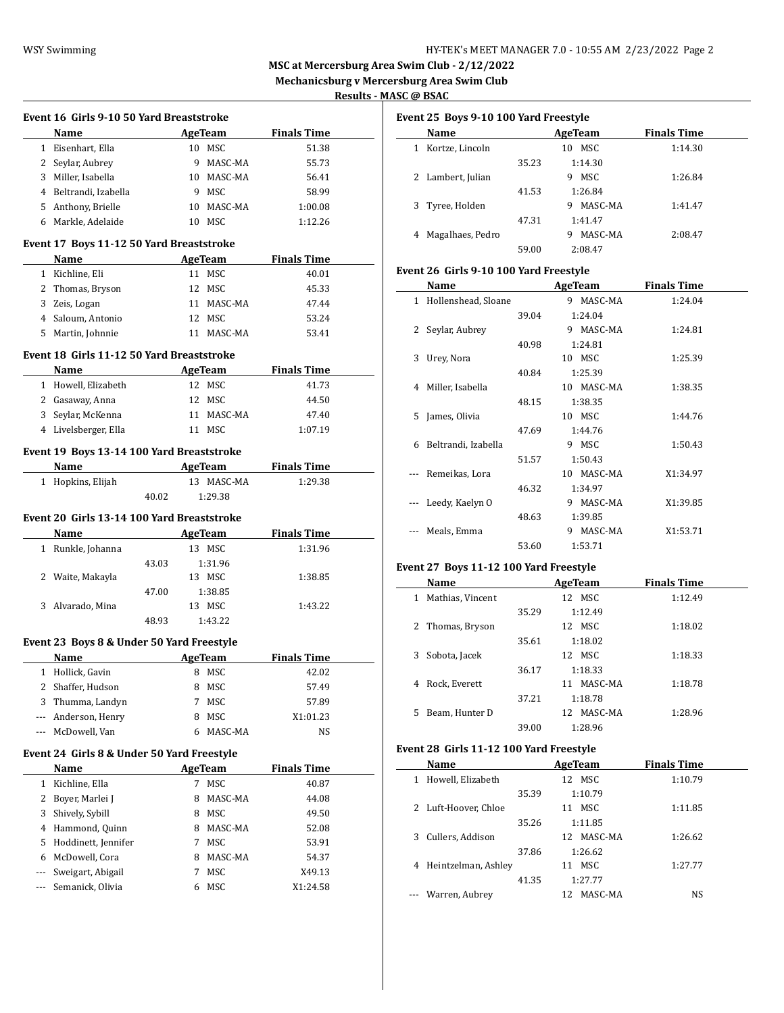**MSC at Mercersburg Area Swim Club - 2/12/2022 Mechanicsburg v Mercersburg Area Swim Club**

**Results - MASC @ BSAC**

|     |                                                   |       | Event 16 Girls 9-10 50 Yard Breaststroke |                |                    |  |
|-----|---------------------------------------------------|-------|------------------------------------------|----------------|--------------------|--|
|     | Name                                              |       |                                          | <b>AgeTeam</b> | <b>Finals Time</b> |  |
|     | 1 Eisenhart, Ella                                 |       |                                          | 10 MSC         | 51.38              |  |
|     | 2 Seylar, Aubrey                                  |       |                                          | 9 MASC-MA      | 55.73              |  |
|     | 3 Miller, Isabella                                |       |                                          | 10 MASC-MA     | 56.41              |  |
|     | 4 Beltrandi, Izabella                             |       |                                          | 9 MSC          | 58.99              |  |
|     | 5 Anthony, Brielle                                |       |                                          | 10 MASC-MA     | 1:00.08            |  |
|     | 6 Markle, Adelaide                                |       |                                          | 10 MSC         | 1:12.26            |  |
|     | Event 17 Boys 11-12 50 Yard Breaststroke          |       |                                          |                |                    |  |
|     | Name                                              |       |                                          | AgeTeam        | <b>Finals Time</b> |  |
|     | 1 Kichline, Eli                                   |       |                                          | 11 MSC         | 40.01              |  |
|     | 2 Thomas, Bryson                                  |       |                                          | 12 MSC         | 45.33              |  |
|     | 3 Zeis, Logan                                     |       |                                          | 11 MASC-MA     | 47.44              |  |
|     | 4 Saloum, Antonio                                 |       |                                          | 12 MSC         | 53.24              |  |
|     | 5 Martin, Johnnie                                 |       |                                          | 11 MASC-MA     | 53.41              |  |
|     |                                                   |       |                                          |                |                    |  |
|     | Event 18 Girls 11-12 50 Yard Breaststroke         |       |                                          |                |                    |  |
|     | Name                                              |       |                                          | AgeTeam        | <b>Finals Time</b> |  |
|     | 1 Howell, Elizabeth                               |       |                                          | 12 MSC         | 41.73              |  |
|     | 2 Gasaway, Anna                                   |       |                                          | 12 MSC         | 44.50              |  |
|     | 3 Seylar, McKenna                                 |       |                                          | 11 MASC-MA     | 47.40              |  |
|     | 4 Livelsberger, Ella                              |       |                                          | 11 MSC         | 1:07.19            |  |
|     | Event 19 Boys 13-14 100 Yard Breaststroke         |       |                                          |                |                    |  |
|     | Name AgeTeam                                      |       |                                          |                | <b>Finals Time</b> |  |
|     | 1 Hopkins, Elijah                                 |       |                                          | 13 MASC-MA     | 1:29.38            |  |
|     |                                                   | 40.02 |                                          | 1:29.38        |                    |  |
|     |                                                   |       |                                          |                |                    |  |
|     | Event 20 Girls 13-14 100 Yard Breaststroke        |       |                                          |                |                    |  |
|     |                                                   |       |                                          |                |                    |  |
|     | <b>Name</b>                                       |       |                                          | <b>AgeTeam</b> | <b>Finals Time</b> |  |
|     | 1 Runkle, Johanna                                 |       |                                          | 13 MSC         | 1:31.96            |  |
|     |                                                   | 43.03 |                                          | 1:31.96        |                    |  |
|     | 2 Waite, Makayla                                  |       |                                          | 13 MSC         | 1:38.85            |  |
|     |                                                   | 47.00 |                                          | 1:38.85        |                    |  |
|     | 3 Alvarado, Mina                                  |       |                                          | 13 MSC         | 1:43.22            |  |
|     |                                                   | 48.93 |                                          | 1:43.22        |                    |  |
|     |                                                   |       |                                          |                |                    |  |
|     | Event 23 Boys 8 & Under 50 Yard Freestyle<br>Name |       |                                          | AgeTeam        | <b>Finals Time</b> |  |
|     |                                                   |       |                                          |                |                    |  |
|     | 1 Hollick, Gavin                                  |       |                                          | 8 MSC          | 42.02              |  |
| 2   | Shaffer, Hudson                                   |       | 8                                        | MSC            | 57.49              |  |
| 3   | Thumma, Landyn                                    |       | 7                                        | MSC            | 57.89              |  |
| --- | Anderson, Henry                                   |       | 8                                        | MSC            | X1:01.23           |  |
| --- | McDowell, Van                                     |       | 6                                        | MASC-MA        | NS                 |  |
|     | Event 24 Girls 8 & Under 50 Yard Freestyle        |       |                                          |                |                    |  |
|     | Name                                              |       |                                          | AgeTeam        | <b>Finals Time</b> |  |
| 1   | Kichline, Ella                                    |       | 7                                        | MSC            | 40.87              |  |
| 2   | Boyer, Marlei J                                   |       | 8                                        | MASC-MA        | 44.08              |  |
| 3   | Shively, Sybill                                   |       | 8                                        | MSC            | 49.50              |  |
|     | 4 Hammond, Quinn                                  |       | 8                                        | MASC-MA        | 52.08              |  |
| 5   | Hoddinett, Jennifer                               |       | 7                                        | MSC            | 53.91              |  |
|     | 6 McDowell, Cora                                  |       | 8                                        | MASC-MA        | 54.37              |  |
| --- | Sweigart, Abigail                                 |       | 7                                        | MSC            | X49.13             |  |
| --- | Semanick, Olivia                                  |       | 6                                        | MSC            | X1:24.58           |  |

| Event 25 Boys 9-10 100 Yard Freestyle |                   |       |              |                    |  |  |  |
|---------------------------------------|-------------------|-------|--------------|--------------------|--|--|--|
|                                       | Name              |       | AgeTeam      | <b>Finals Time</b> |  |  |  |
|                                       | Kortze, Lincoln   |       | MSC.<br>10   | 1:14.30            |  |  |  |
|                                       |                   | 35.23 | 1:14.30      |                    |  |  |  |
|                                       | 2 Lambert, Julian |       | MSC.<br>9    | 1:26.84            |  |  |  |
|                                       |                   | 41.53 | 1:26.84      |                    |  |  |  |
|                                       | 3 Tyree, Holden   |       | MASC-MA<br>9 | 1:41.47            |  |  |  |
|                                       |                   | 47.31 | 1:41.47      |                    |  |  |  |
|                                       | Magalhaes, Pedro  |       | MASC-MA<br>q | 2:08.47            |  |  |  |

59.00 2:08.47

#### **Event 26 Girls 9-10 100 Yard Freestyle**

|   | Name                |       | <b>AgeTeam</b> |            | <b>Finals Time</b> |  |
|---|---------------------|-------|----------------|------------|--------------------|--|
| 1 | Hollenshead, Sloane |       |                | 9 MASC-MA  | 1:24.04            |  |
|   |                     | 39.04 |                | 1:24.04    |                    |  |
| 2 | Seylar, Aubrey      |       |                | 9 MASC-MA  | 1:24.81            |  |
|   |                     | 40.98 |                | 1:24.81    |                    |  |
| 3 | Urey, Nora          |       |                | 10 MSC     | 1:25.39            |  |
|   |                     | 40.84 |                | 1:25.39    |                    |  |
| 4 | Miller, Isabella    |       |                | 10 MASC-MA | 1:38.35            |  |
|   |                     | 48.15 |                | 1:38.35    |                    |  |
| 5 | James, Olivia       |       |                | 10 MSC     | 1:44.76            |  |
|   |                     | 47.69 |                | 1:44.76    |                    |  |
| 6 | Beltrandi, Izabella |       | 9              | MSC        | 1:50.43            |  |
|   |                     | 51.57 |                | 1:50.43    |                    |  |
|   | Remeikas, Lora      |       |                | 10 MASC-MA | X1:34.97           |  |
|   |                     | 46.32 |                | 1:34.97    |                    |  |
|   | Leedy, Kaelyn O     |       | 9              | MASC-MA    | X1:39.85           |  |
|   |                     | 48.63 |                | 1:39.85    |                    |  |
|   | Meals, Emma         |       | 9              | MASC-MA    | X1:53.71           |  |
|   |                     | 53.60 |                | 1:53.71    |                    |  |
|   |                     |       |                |            |                    |  |

# **Event 27 Boys 11-12 100 Yard Freestyle**

| Name                  |       | AgeTeam       | <b>Finals Time</b> |
|-----------------------|-------|---------------|--------------------|
| Mathias, Vincent<br>1 |       | MSC<br>12     | 1:12.49            |
|                       | 35.29 | 1:12.49       |                    |
| 2 Thomas, Bryson      |       | 12 MSC        | 1:18.02            |
|                       | 35.61 | 1:18.02       |                    |
| Sobota, Jacek<br>3    |       | 12 MSC        | 1:18.33            |
|                       | 36.17 | 1:18.33       |                    |
| Rock, Everett<br>4    |       | MASC-MA<br>11 | 1:18.78            |
|                       | 37.21 | 1:18.78       |                    |
| Beam, Hunter D<br>5.  |       | MASC-MA<br>12 | 1:28.96            |
|                       | 39.00 | 1:28.96       |                    |

## **Event 28 Girls 11-12 100 Yard Freestyle**

| Name                       |       | AgeTeam    | <b>Finals Time</b> |
|----------------------------|-------|------------|--------------------|
| Howell, Elizabeth<br>1     |       | 12 MSC     | 1:10.79            |
|                            | 35.39 | 1:10.79    |                    |
| 2 Luft-Hoover, Chloe       |       | MSC.<br>11 | 1:11.85            |
|                            | 35.26 | 1:11.85    |                    |
| Cullers, Addison<br>3      |       | 12 MASC-MA | 1:26.62            |
|                            | 37.86 | 1:26.62    |                    |
| 4 Heintzelman, Ashley      |       | MSC<br>11  | 1:27.77            |
|                            | 41.35 | 1:27.77    |                    |
| Warren, Aubrey<br>$\cdots$ |       | MASC-MA    | NS                 |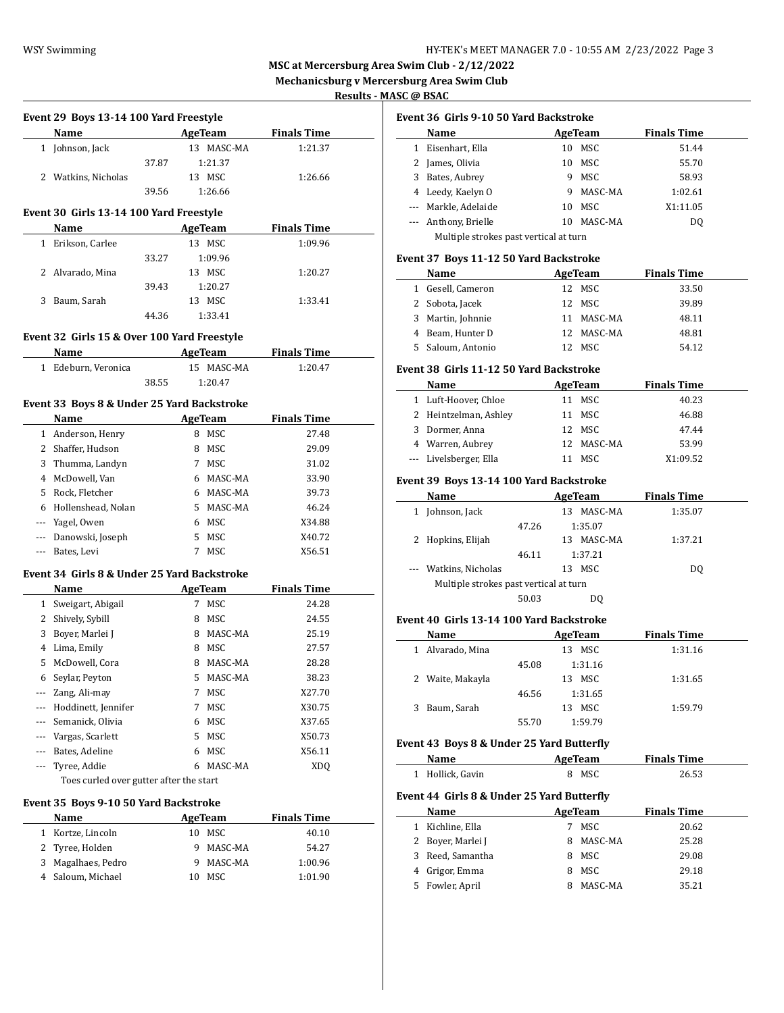**MSC at Mercersburg Area Swim Club - 2/12/2022**

**Mechanicsburg v Mercersburg Area Swim Club**

**Results - MASC @ BSAC**

|                          | Name                                        |       |                          | <b>Finals Time</b>            | Ŋ                   |
|--------------------------|---------------------------------------------|-------|--------------------------|-------------------------------|---------------------|
|                          | 1 Johnson, Jack                             |       | AgeTeam<br>13 MASC-MA    | 1:21.37                       | 1 F                 |
|                          |                                             | 37.87 | 1:21.37                  |                               | $2 \;$ J            |
|                          | 2 Watkins, Nicholas                         |       | 13 MSC                   | 1:26.66                       | 3 E                 |
|                          |                                             | 39.56 | 1:26.66                  |                               | 4 L                 |
|                          |                                             |       |                          |                               | --- N               |
|                          | Event 30 Girls 13-14 100 Yard Freestyle     |       |                          |                               | --- A               |
|                          | Name<br>1 Erikson, Carlee                   |       | <b>AgeTeam</b><br>13 MSC | <b>Finals Time</b><br>1:09.96 |                     |
|                          |                                             | 33.27 | 1:09.96                  |                               | Event 3             |
|                          | 2 Alvarado, Mina                            |       | 13 MSC                   | 1:20.27                       |                     |
|                          |                                             | 39.43 | 1:20.27                  |                               | Ŋ<br>1 0            |
|                          | 3 Baum, Sarah                               |       | 13 MSC                   | 1:33.41                       | 2S                  |
|                          |                                             | 44.36 | 1:33.41                  |                               | 3 N                 |
|                          |                                             |       |                          |                               | 4 E                 |
|                          | Event 32 Girls 15 & Over 100 Yard Freestyle |       |                          |                               | 5S                  |
|                          | Name                                        |       | AgeTeam                  | <b>Finals Time</b>            |                     |
|                          | 1 Edeburn, Veronica                         |       | 15 MASC-MA               | 1:20.47                       | Event <sub>3</sub>  |
|                          |                                             | 38.55 | 1:20.47                  |                               | Þ                   |
|                          | Event 33 Boys 8 & Under 25 Yard Backstroke  |       |                          |                               | 1 L                 |
|                          | Name                                        |       | AgeTeam                  | <b>Finals Time</b>            | 2 F                 |
|                          | 1 Anderson, Henry                           |       | 8 MSC                    | 27.48                         | 3 <sub>l</sub>      |
|                          | 2 Shaffer, Hudson                           |       | 8 MSC                    | 29.09                         | 4 V                 |
|                          | 3 Thumma, Landyn                            |       | 7 MSC                    | 31.02                         | --- L               |
|                          | 4 McDowell, Van                             |       | 6 MASC-MA                | 33.90                         | Event <sub>3</sub>  |
|                          | 5 Rock, Fletcher                            |       | 6 MASC-MA                | 39.73                         |                     |
|                          | 6 Hollenshead, Nolan                        |       | 5 MASC-MA                | 46.24                         | 1 <sub>1</sub>      |
|                          | --- Yagel, Owen                             |       | 6 MSC                    | X34.88                        |                     |
|                          | --- Danowski, Joseph                        |       | 5 MSC                    | X40.72                        | 2 F                 |
| $\cdots$                 | Bates, Levi                                 |       | 7 MSC                    | X56.51                        |                     |
|                          | Event 34 Girls 8 & Under 25 Yard Backstroke |       |                          |                               | --- V               |
|                          | Name                                        |       | <b>Example 2</b> AgeTeam | <b>Finals Time</b>            |                     |
|                          | 1 Sweigart, Abigail                         |       | 7 MSC                    | 24.28                         |                     |
|                          | 2 Shively, Sybill                           |       | 8 MSC                    | 24.55                         | <b>Event 4</b>      |
|                          | 3 Boyer, Marlei J                           |       | 8 MASC-MA                | 25.19                         |                     |
|                          | 4 Lima, Emily                               |       | 8 MSC                    | 27.57                         | $1 \quad A$         |
|                          | 5 McDowell, Cora                            |       | 8 MASC-MA                | 28.28                         |                     |
|                          | 6 Seylar, Peyton                            |       | 5 MASC-MA                | 38.23                         | 2 V                 |
|                          | --- Zang, Ali-may                           |       | MSC<br>7                 | X27.70                        |                     |
| $\overline{\phantom{a}}$ | Hoddinett, Jennifer                         |       | MSC<br>7                 | X30.75                        | 3 E                 |
| $\cdots$                 | Semanick, Olivia                            |       | MSC<br>6                 | X37.65                        |                     |
|                          | --- Vargas, Scarlett                        |       | 5<br>MSC                 | X50.73                        |                     |
|                          | --- Bates, Adeline                          |       | MSC<br>6                 | X56.11                        | <b>Event 4</b>      |
| ---                      | Tyree, Addie                                |       | MASC-MA<br>6             | XDQ                           |                     |
|                          | Toes curled over gutter after the start     |       |                          |                               | 1 F                 |
|                          | Event 35 Boys 9-10 50 Yard Backstroke       |       |                          |                               | <b>Event 4</b>      |
|                          | Name                                        |       | <b>AgeTeam</b>           | <b>Finals Time</b>            |                     |
|                          | 1 Kortze, Lincoln                           |       | 10 MSC                   | 40.10                         | $\mathbf{1}$<br>- F |
|                          | 2 Tyree, Holden                             |       | MASC-MA<br>9             | 54.27                         | 2 E                 |
|                          | 3 Magalhaes, Pedro                          |       | MASC-MA<br>9             | 1:00.96                       | 3 F                 |
|                          | 4 Saloum, Michael                           |       | 10 MSC                   | 1:01.90                       | 4 C                 |
|                          |                                             |       |                          |                               | 5 F                 |
|                          |                                             |       |                          |                               |                     |
|                          |                                             |       |                          |                               |                     |

|  |  | Event 36  Girls 9-10 50 Yard Backstroke |
|--|--|-----------------------------------------|
|--|--|-----------------------------------------|

|   | <b>Name</b>                            |    | AgeTeam | <b>Finals Time</b> |  |
|---|----------------------------------------|----|---------|--------------------|--|
|   | Eisenhart, Ella                        | 10 | MSC     | 51.44              |  |
| 2 | James, Olivia                          | 10 | MSC     | 55.70              |  |
| 3 | Bates, Aubrey                          | 9  | MSC     | 58.93              |  |
|   | 4 Leedy, Kaelyn O                      | 9  | MASC-MA | 1:02.61            |  |
|   | --- Markle, Adelaide                   | 10 | MSC     | X1:11.05           |  |
|   | --- Anthony, Brielle                   | 10 | MASC-MA | D <sub>0</sub>     |  |
|   | Multiple strokes past vertical at turn |    |         |                    |  |

## **Event 37 Boys 11-12 50 Yard Backstroke**

|    | <b>Name</b>      |     | AgeTeam    | <b>Finals Time</b> |  |
|----|------------------|-----|------------|--------------------|--|
| 1  | Gesell, Cameron  | 12. | MSC        | 33.50              |  |
|    | 2 Sobota, Jacek  |     | 12 MSC     | 39.89              |  |
| 3  | Martin, Johnnie  |     | 11 MASC-MA | 48.11              |  |
|    | 4 Beam, Hunter D |     | 12 MASC-MA | 48.81              |  |
| 5. | Saloum, Antonio  |     | MSC.       | 54.12              |  |

#### **Event 38 Girls 11-12 50 Yard Backstroke**

| <b>Name</b>            | AgeTeam    | <b>Finals Time</b> |  |
|------------------------|------------|--------------------|--|
| 1 Luft-Hoover, Chloe   | MSC        | 40.23              |  |
| 2 Heintzelman, Ashley  | MSC        | 46.88              |  |
| Dormer, Anna<br>3.     | 12 MSC     | 47.44              |  |
| 4 Warren, Aubrey       | 12 MASC-MA | 53.99              |  |
| --- Livelsberger, Ella | MSC.       | X1:09.52           |  |

#### **Event 39 Boys 13-14 100 Yard Backstroke**

|   | Name                                   |       | AgeTeam       | <b>Finals Time</b> |  |
|---|----------------------------------------|-------|---------------|--------------------|--|
|   | Johnson, Jack                          |       | MASC-MA<br>13 | 1:35.07            |  |
|   |                                        | 47.26 | 1:35.07       |                    |  |
| 2 | Hopkins, Elijah                        |       | MASC-MA<br>13 | 1:37.21            |  |
|   |                                        | 46.11 | 1:37.21       |                    |  |
|   | Watkins, Nicholas                      |       | MSC<br>13     | DO.                |  |
|   | Multiple strokes past vertical at turn |       |               |                    |  |
|   |                                        | 50.03 | DO            |                    |  |
|   |                                        |       |               |                    |  |

# **Event 40 Girls 13-14 100 Yard Backstroke**

| Name             |       | AgeTeam   | <b>Finals Time</b> |
|------------------|-------|-----------|--------------------|
| Alvarado, Mina   |       | MSC<br>13 | 1:31.16            |
|                  | 45.08 | 1:31.16   |                    |
| 2 Waite, Makayla |       | MSC<br>13 | 1:31.65            |
|                  | 46.56 | 1:31.65   |                    |
| Baum, Sarah      |       | MSC<br>13 | 1:59.79            |
|                  | 55.70 | 1:59.79   |                    |
|                  |       |           |                    |

# **Event 43 Boys 8 & Under 25 Yard Butterfly**

| Name             | AgeTeam | <b>Finals Time</b> |  |
|------------------|---------|--------------------|--|
| 1 Hollick, Gavin | 8 MSC   | 26.53              |  |

## **Event 44 Girls 8 & Under 25 Yard Butterfly**

|    | Name              |    | AgeTeam | <b>Finals Time</b> |
|----|-------------------|----|---------|--------------------|
|    | Kichline, Ella    |    | MSC.    | 20.62              |
|    | 2 Boyer, Marlei J | 8  | MASC-MA | 25.28              |
| 3  | Reed, Samantha    | 8. | MSC     | 29.08              |
|    | 4 Grigor, Emma    | 8  | MSC     | 29.18              |
| 5. | Fowler, April     |    | MASC-MA | 35.21              |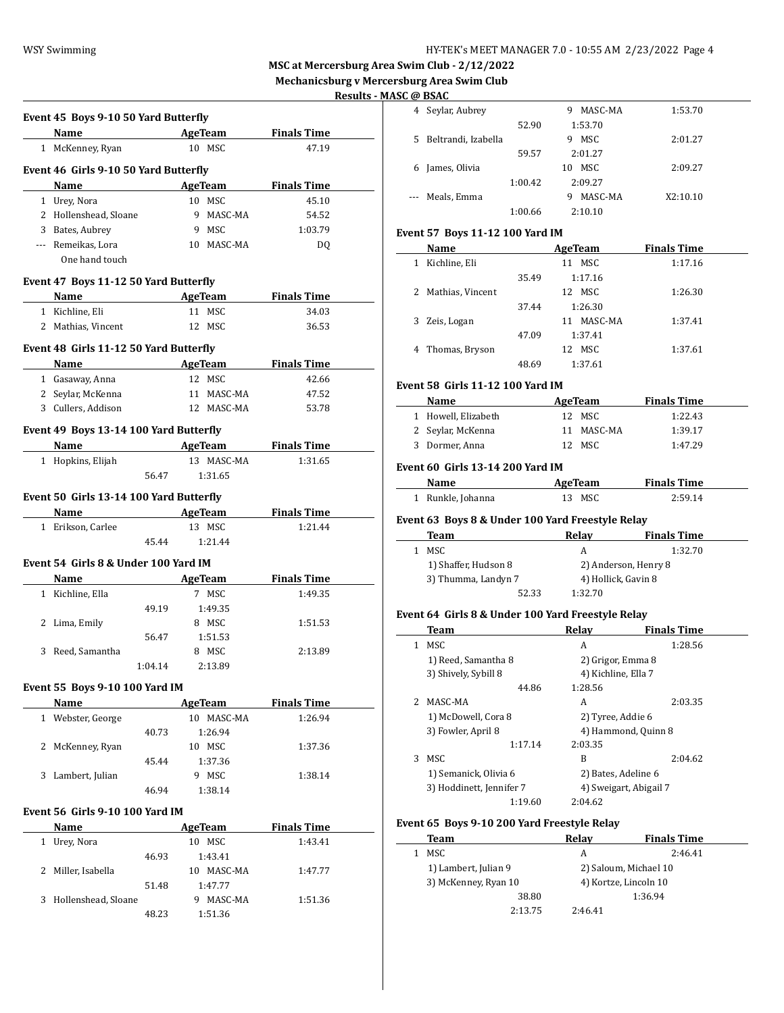**MSC at Mercersburg Area Swim Club - 2/12/2022**

**Mechanicsburg v Mercersburg Area Swim Club**

#### **Results - MASC @ BSAC**

| Name AgeTeam                                 |         |                             | <b>Finals Time</b> |
|----------------------------------------------|---------|-----------------------------|--------------------|
| 1 McKenney, Ryan                             |         | 10 MSC                      | 47.19              |
| Event 46 Girls 9-10 50 Yard Butterfly        |         |                             |                    |
| Name AgeTeam                                 |         |                             | <b>Finals Time</b> |
| 1 Urey, Nora                                 |         | 10 MSC                      | 45.10              |
| 2 Hollenshead, Sloane                        |         | 9 MASC-MA                   | 54.52              |
| 3 Bates, Aubrey                              |         | 9 MSC                       | 1:03.79            |
| --- Remeikas, Lora                           |         | 10 MASC-MA                  | DQ                 |
| One hand touch                               |         |                             |                    |
| Event 47 Boys 11-12 50 Yard Butterfly        |         |                             |                    |
| Name AgeTeam                                 |         |                             | <b>Finals Time</b> |
| 1 Kichline, Eli                              |         | 11 MSC                      | 34.03              |
| 2 Mathias, Vincent                           |         | 12 MSC                      | 36.53              |
| Event 48 Girls 11-12 50 Yard Butterfly       |         |                             |                    |
| Name                                         |         | <b>Example 2018 AgeTeam</b> | <b>Finals Time</b> |
| 1 Gasaway, Anna                              |         | 12 MSC                      | 42.66              |
| 2 Seylar, McKenna                            |         | 11 MASC-MA                  | 47.52              |
| 3 Cullers, Addison                           |         | 12 MASC-MA                  | 53.78              |
| Event 49 Boys 13-14 100 Yard Butterfly       |         |                             |                    |
| Name AgeTeam Finals Time                     |         |                             |                    |
| 1 Hopkins, Elijah                            |         | 13 MASC-MA                  | 1:31.65            |
|                                              | 56.47   | 1:31.65                     |                    |
| Event 50 Girls 13-14 100 Yard Butterfly      |         |                             |                    |
| <b>Name AgeTeam</b>                          |         |                             | <b>Finals Time</b> |
| 1 Erikson, Carlee                            |         | 13 MSC                      | 1:21.44            |
|                                              |         |                             |                    |
|                                              | 45.44   | 1:21.44                     |                    |
|                                              |         |                             |                    |
| Event 54 Girls 8 & Under 100 Yard IM<br>Name |         |                             | <b>Finals Time</b> |
|                                              |         | AgeTeam<br>7 MSC            | 1:49.35            |
| 1 Kichline, Ella                             |         |                             |                    |
|                                              | 49.19   | 1:49.35                     |                    |
| 2 Lima, Emily                                |         | 8 MSC                       | 1:51.53            |
|                                              | 56.47   | 1:51.53                     |                    |
| 3 Reed, Samantha                             |         | 8 MSC                       | 2:13.89            |
|                                              | 1:04.14 | 2:13.89                     |                    |
| Event 55 Boys 9-10 100 Yard IM               |         |                             |                    |
| Name                                         |         | <b>AgeTeam</b>              | <b>Finals Time</b> |
| 1 Webster, George                            |         | 10 MASC-MA                  | 1:26.94            |
|                                              | 40.73   | 1:26.94                     |                    |
| 2 McKenney, Ryan                             |         | 10 MSC                      | 1:37.36            |
|                                              | 45.44   | 1:37.36                     |                    |
| 3 Lambert, Julian                            |         | 9 MSC                       | 1:38.14            |
|                                              | 46.94   | 1:38.14                     |                    |
| Event 56 Girls 9-10 100 Yard IM              |         |                             |                    |
| Name                                         |         | <b>AgeTeam</b>              | <b>Finals Time</b> |
| 1 Urey, Nora                                 |         | 10 MSC                      | 1:43.41            |
|                                              | 46.93   | 1:43.41                     |                    |
| 2 Miller, Isabella                           |         | 10 MASC-MA                  | 1:47.77            |
|                                              | 51.48   | 1:47.77                     |                    |
| 3 Hollenshead, Sloane                        |         | 9 MASC-MA                   | 1:51.36            |

|    | . W DJAL            |         |              |          |
|----|---------------------|---------|--------------|----------|
| 4  | Seylar, Aubrey      |         | MASC-MA<br>9 | 1:53.70  |
|    |                     | 52.90   | 1:53.70      |          |
| 5. | Beltrandi, Izabella |         | MSC<br>9     | 2:01.27  |
|    |                     | 59.57   | 2:01.27      |          |
| 6  | James, Olivia       |         | MSC<br>10    | 2:09.27  |
|    |                     | 1:00.42 | 2:09.27      |          |
|    | Meals, Emma         |         | MASC-MA<br>9 | X2:10.10 |
|    |                     | 1:00.66 | 2:10.10      |          |
|    |                     |         |              |          |

### **Event 57 Boys 11-12 100 Yard IM**

| Name               |       | AgeTeam       | <b>Finals Time</b> |  |
|--------------------|-------|---------------|--------------------|--|
| Kichline, Eli<br>1 |       | MSC<br>11     | 1:17.16            |  |
|                    | 35.49 | 1:17.16       |                    |  |
| 2 Mathias, Vincent |       | 12 MSC        | 1:26.30            |  |
|                    | 37.44 | 1:26.30       |                    |  |
| 3 Zeis, Logan      |       | MASC-MA<br>11 | 1:37.41            |  |
|                    | 47.09 | 1:37.41       |                    |  |
| 4 Thomas, Bryson   |       | 12 MSC        | 1:37.61            |  |
|                    | 48.69 | 1:37.61       |                    |  |

# **Event 58 Girls 11-12 100 Yard IM**<br>Name

| Name                | AgeTeam    | <b>Finals Time</b> |
|---------------------|------------|--------------------|
| 1 Howell, Elizabeth | 12 MSC     | 1:22.43            |
| 2 Seylar, McKenna   | 11 MASC-MA | 1:39.17            |
| 3 Dormer, Anna      | 12 MSC     | 1:47.29            |

## **Event 60 Girls 13-14 200 Yard IM**

 $\overline{\phantom{0}}$ 

| Name              | AgeTeam | <b>Finals Time</b> |  |
|-------------------|---------|--------------------|--|
| 1 Runkle, Johanna | 13 MSC  | 2:59.14            |  |

## **Event 63 Boys 8 & Under 100 Yard Freestyle Relay**

| Team                 | Relav   | <b>Finals Time</b>   |
|----------------------|---------|----------------------|
| MSC.                 | А       | 1:32.70              |
| 1) Shaffer, Hudson 8 |         | 2) Anderson, Henry 8 |
| 3) Thumma, Landyn 7  |         | 4) Hollick, Gavin 8  |
| 52.33                | 1:32.70 |                      |

#### **Event 64 Girls 8 & Under 100 Yard Freestyle Relay**

|   | <b>Team</b>              | Relav                  | <b>Finals Time</b>  |
|---|--------------------------|------------------------|---------------------|
| 1 | MSC.                     | A                      | 1:28.56             |
|   | 1) Reed, Samantha 8      | 2) Grigor, Emma 8      |                     |
|   | 3) Shively, Sybill 8     | 4) Kichline, Ella 7    |                     |
|   | 44.86                    | 1:28.56                |                     |
|   | 2 MASC-MA                | A                      | 2:03.35             |
|   | 1) McDowell, Cora 8      | 2) Tyree, Addie 6      |                     |
|   | 3) Fowler, April 8       |                        | 4) Hammond, Quinn 8 |
|   | 1:17.14                  | 2:03.35                |                     |
| 3 | MSC.                     | B                      | 2:04.62             |
|   | 1) Semanick, Olivia 6    |                        | 2) Bates, Adeline 6 |
|   | 3) Hoddinett, Jennifer 7 | 4) Sweigart, Abigail 7 |                     |
|   | 1:19.60                  | 2:04.62                |                     |

## **Event 65 Boys 9-10 200 Yard Freestyle Relay**

| Team                 | Relav   | <b>Finals Time</b>    |
|----------------------|---------|-----------------------|
| MSC                  | А       | 2:46.41               |
| 1) Lambert, Julian 9 |         | 2) Saloum, Michael 10 |
| 3) McKenney, Ryan 10 |         | 4) Kortze, Lincoln 10 |
| 38.80                |         | 1:36.94               |
| 2:13.75              | 2:46.41 |                       |